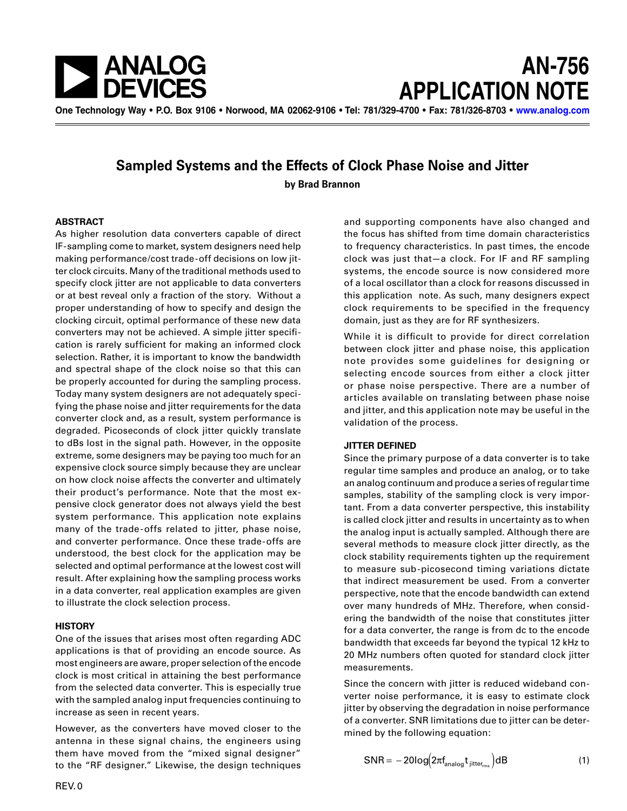



**One Technology Way • P.O. Box 9106 • Norwood, MA 02062-9106 • Tel: 781/329-4700 • Fax: 781/326-8703 • [www.analog.com](http://www.analog.com)**

# **Sampled Systems and the Effects of Clock Phase Noise and Jitter**

**by Brad Brannon**

### **ABSTRACT**

As higher resolution data converters capable of direct IF-sampling come to market, system designers need help making performance/cost trade-off decisions on low jitter clock circuits. Many of the traditional methods used to specify clock jitter are not applicable to data converters or at best reveal only a fraction of the story. Without a proper understanding of how to specify and design the clocking circuit, optimal performance of these new data converters may not be achieved. A simple jitter specification is rarely sufficient for making an informed clock selection. Rather, it is important to know the bandwidth and spectral shape of the clock noise so that this can be properly accounted for during the sampling process. Today many system designers are not adequately specifying the phase noise and jitter requirements for the data converter clock and, as a result, system performance is degraded. Picoseconds of clock jitter quickly translate to dBs lost in the signal path. However, in the opposite extreme, some designers may be paying too much for an expensive clock source simply because they are unclear on how clock noise affects the converter and ultimately their product's performance. Note that the most expensive clock generator does not always yield the best system performance. This application note explains many of the trade-offs related to jitter, phase noise, and converter performance. Once these trade-offs are understood, the best clock for the application may be selected and optimal performance at the lowest cost will result. After explaining how the sampling process works in a data converter, real application examples are given to illustrate the clock selection process.

## **HISTORY**

One of the issues that arises most often regarding ADC applications is that of providing an encode source. As most engineers are aware, proper selection of the encode clock is most critical in attaining the best performance from the selected data converter. This is especially true with the sampled analog input frequencies continuing to increase as seen in recent years.

However, as the converters have moved closer to the antenna in these signal chains, the engineers using them have moved from the "mixed signal designer" to the "RF designer." Likewise, the design techniques

and supporting components have also changed and the focus has shifted from time domain characteristics to frequency characteristics. In past times, the encode clock was just that—a clock. For IF and RF sampling systems, the encode source is now considered more of a local oscillator than a clock for reasons discussed in this application note. As such, many designers expect clock requirements to be specified in the frequency domain, just as they are for RF synthesizers.

While it is difficult to provide for direct correlation between clock jitter and phase noise, this application note provides some guidelines for designing or selecting encode sources from either a clock jitter or phase noise perspective. There are a number of articles available on translating between phase noise and jitter, and this application note may be useful in the validation of the process.

## **JITTER DEFINED**

Since the primary purpose of a data converter is to take regular time samples and produce an analog, or to take an analog continuum and produce a series of regular time samples, stability of the sampling clock is very important. From a data converter perspective, this instability is called clock jitter and results in uncertainty as to when the analog input is actually sampled. Although there are several methods to measure clock jitter directly, as the clock stability requirements tighten up the requirement to measure sub-picosecond timing variations dictate that indirect measurement be used. From a converter perspective, note that the encode bandwidth can extend over many hundreds of MHz. Therefore, when considering the bandwidth of the noise that constitutes jitter for a data converter, the range is from dc to the encode bandwidth that exceeds far beyond the typical 12 kHz to 20 MHz numbers often quoted for standard clock jitter measurements.

Since the concern with jitter is reduced wideband converter noise performance, it is easy to estimate clock jitter by observing the degradation in noise performance of a converter. SNR limitations due to jitter can be determined by the following equation:

$$
SNR = -20log(2\pi f_{analog}t_{jitter_{rms}})dB
$$
 (1)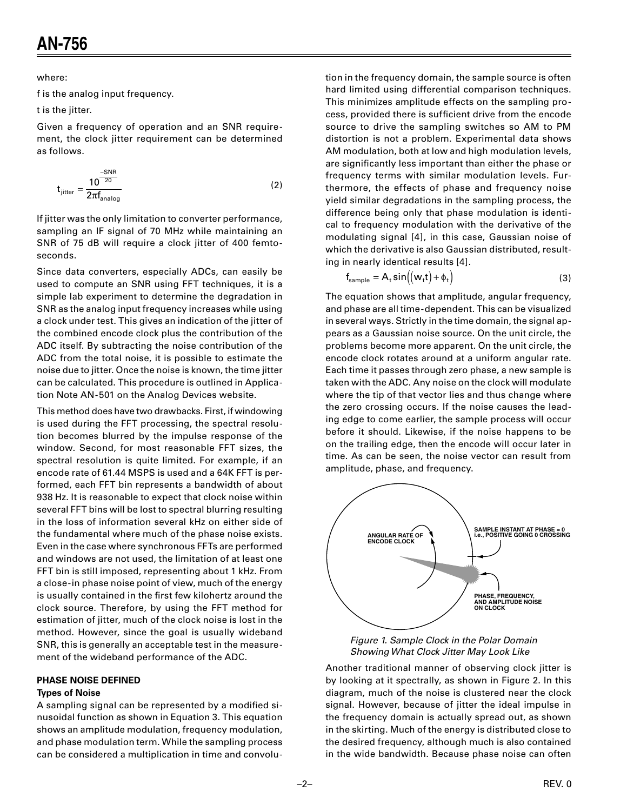where:

f is the analog input frequency.

t is the jitter.

Given a frequency of operation and an SNR requirement, the clock jitter requirement can be determined as follows.

$$
t_{\text{jitter}} = \frac{10^{\frac{-SNR}{20}}}{2\pi f_{\text{analog}}}
$$
 (2)

If jitter was the only limitation to converter performance, sampling an IF signal of 70 MHz while maintaining an SNR of 75 dB will require a clock jitter of 400 femtoseconds.

Since data converters, especially ADCs, can easily be used to compute an SNR using FFT techniques, it is a simple lab experiment to determine the degradation in SNR as the analog input frequency increases while using a clock under test. This gives an indication of the jitter of the combined encode clock plus the contribution of the ADC itself. By subtracting the noise contribution of the ADC from the total noise, it is possible to estimate the noise due to jitter. Once the noise is known, the time jitter can be calculated. This procedure is outlined in Application Note AN-501 on the Analog Devices website.

This method does have two drawbacks. First, if windowing is used during the FFT processing, the spectral resolution becomes blurred by the impulse response of the window. Second, for most reasonable FFT sizes, the spectral resolution is quite limited. For example, if an encode rate of 61.44 MSPS is used and a 64K FFT is performed, each FFT bin represents a bandwidth of about 938 Hz. It is reasonable to expect that clock noise within several FFT bins will be lost to spectral blurring resulting in the loss of information several kHz on either side of the fundamental where much of the phase noise exists. Even in the case where synchronous FFTs are performed and windows are not used, the limitation of at least one FFT bin is still imposed, representing about 1 kHz. From a close-in phase noise point of view, much of the energy is usually contained in the first few kilohertz around the clock source. Therefore, by using the FFT method for estimation of jitter, much of the clock noise is lost in the method. However, since the goal is usually wideband SNR, this is generally an acceptable test in the measurement of the wideband performance of the ADC.

# **PHASE NOISE DEFINED**

# **Types of Noise**

A sampling signal can be represented by a modified sinusoidal function as shown in Equation 3. This equation shows an amplitude modulation, frequency modulation, and phase modulation term. While the sampling process can be considered a multiplication in time and convolu-

tion in the frequency domain, the sample source is often hard limited using differential comparison techniques. This minimizes amplitude effects on the sampling process, provided there is sufficient drive from the encode source to drive the sampling switches so AM to PM distortion is not a problem. Experimental data shows AM modulation, both at low and high modulation levels, are significantly less important than either the phase or frequency terms with similar modulation levels. Furthermore, the effects of phase and frequency noise yield similar degradations in the sampling process, the difference being only that phase modulation is identical to frequency modulation with the derivative of the modulating signal [4], in this case, Gaussian noise of which the derivative is also Gaussian distributed, resulting in nearly identical results [4].

$$
f_{\text{sample}} = A_t \sin((w_t t) + \phi_t)
$$
 (3)

The equation shows that amplitude, angular frequency, and phase are all time-dependent. This can be visualized in several ways. Strictly in the time domain, the signal appears as a Gaussian noise source. On the unit circle, the problems become more apparent. On the unit circle, the encode clock rotates around at a uniform angular rate. Each time it passes through zero phase, a new sample is taken with the ADC. Any noise on the clock will modulate where the tip of that vector lies and thus change where the zero crossing occurs. If the noise causes the leading edge to come earlier, the sample process will occur before it should. Likewise, if the noise happens to be on the trailing edge, then the encode will occur later in time. As can be seen, the noise vector can result from amplitude, phase, and frequency.





Another traditional manner of observing clock jitter is by looking at it spectrally, as shown in Figure 2. In this diagram, much of the noise is clustered near the clock signal. However, because of jitter the ideal impulse in the frequency domain is actually spread out, as shown in the skirting. Much of the energy is distributed close to the desired frequency, although much is also contained in the wide bandwidth. Because phase noise can often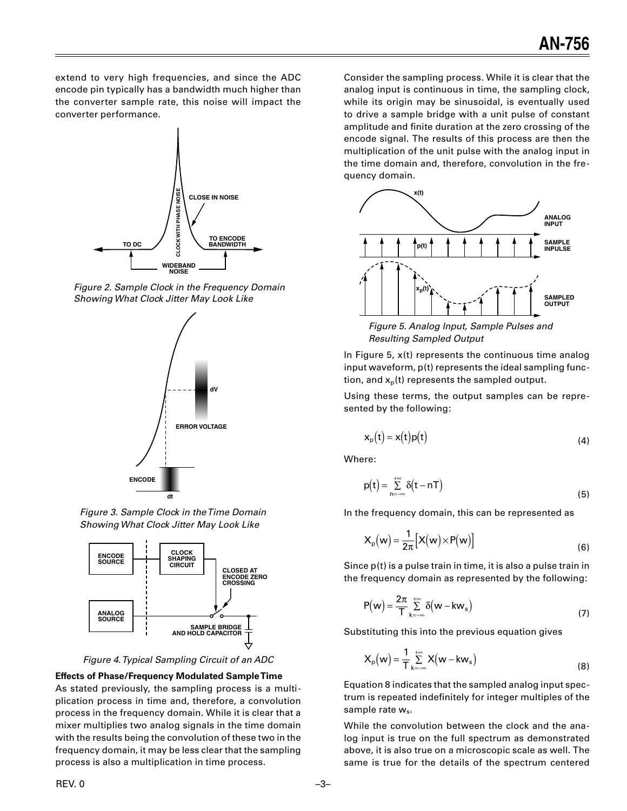extend to very high frequencies, and since the ADC encode pin typically has a bandwidth much higher than the converter sample rate, this noise will impact the converter performance.



Figure 2. Sample Clock in the Frequency Domain Showing What Clock Jitter May Look Like



Figure 3. Sample Clock in the Time Domain Showing What Clock Jitter May Look Like



Figure 4. Typical Sampling Circuit of an ADC

# **Effects of Phase/Frequency Modulated Sample Time**

As stated previously, the sampling process is a multiplication process in time and, therefore, a convolution process in the frequency domain. While it is clear that a mixer multiplies two analog signals in the time domain with the results being the convolution of these two in the frequency domain, it may be less clear that the sampling process is also a multiplication in time process.

Consider the sampling process. While it is clear that the analog input is continuous in time, the sampling clock, while its origin may be sinusoidal, is eventually used to drive a sample bridge with a unit pulse of constant amplitude and finite duration at the zero crossing of the encode signal. The results of this process are then the multiplication of the unit pulse with the analog input in the time domain and, therefore, convolution in the frequency domain.



Figure 5. Analog Input, Sample Pulses and **Resulting Sampled Output** 

In Figure 5,  $x(t)$  represents the continuous time analog input waveform,  $p(t)$  represents the ideal sampling function, and  $x_p(t)$  represents the sampled output.

Using these terms, the output samples can be represented by the following:

$$
x_p(t) = x(t)p(t)
$$
 (4)

Where:

$$
p(t) = \sum_{n = -\infty}^{+\infty} \delta(t - nT)
$$
\n(5)

In the frequency domain, this can be represented as

$$
X_{p}(w) = \frac{1}{2\pi} [X(w) \times P(w)] \qquad (6)
$$

Since  $p(t)$  is a pulse train in time, it is also a pulse train in the frequency domain as represented by the following:

$$
P(w) = \frac{2\pi}{T} \sum_{k=-\infty}^{+\infty} \delta(w - kw_s)
$$
 (7)

Substituting this into the previous equation gives

$$
X_{p}(w) = \frac{1}{T} \sum_{k=-\infty}^{+\infty} X(w - kw_{s})
$$
\n(8)

Equation 8 indicates that the sampled analog input spectrum is repeated indefinitely for integer multiples of the sample rate w<sub>s</sub>.

While the convolution between the clock and the analog input is true on the full spectrum as demonstrated above, it is also true on a microscopic scale as well. The same is true for the details of the spectrum centered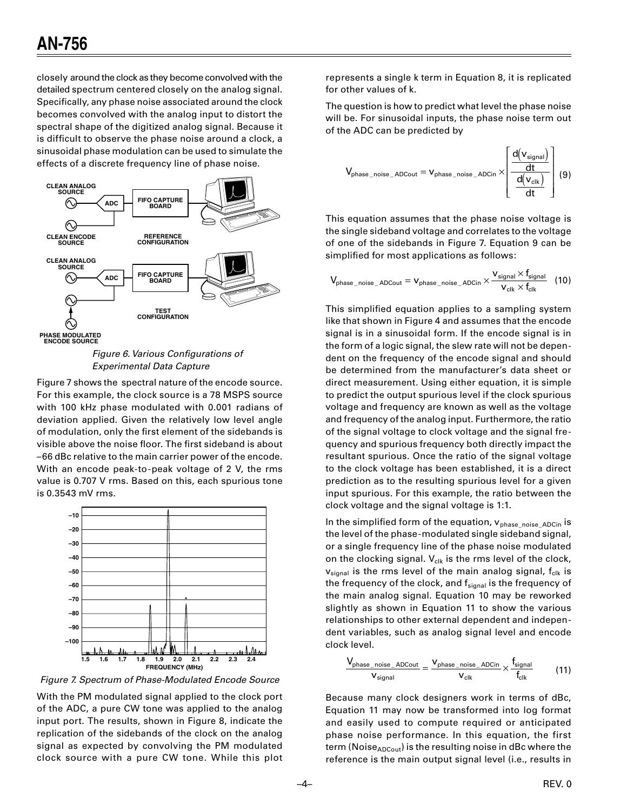closely around the clock as they become convolved with the detailed spectrum centered closely on the analog signal. Specifically, any phase noise associated around the clock becomes convolved with the analog input to distort the spectral shape of the digitized analog signal. Because it is difficult to observe the phase noise around a clock, a sinusoidal phase modulation can be used to simulate the effects of a discrete frequency line of phase noise.



Figure 6. Various Configurations of **Experimental Data Capture** 

Figure 7 shows the spectral nature of the encode source. For this example, the clock source is a 78 MSPS source with 100 kHz phase modulated with 0.001 radians of deviation applied. Given the relatively low level angle of modulation, only the first element of the sidebands is visible above the noise floor. The first sideband is about -66 dBc relative to the main carrier power of the encode. With an encode peak-to-peak voltage of 2 V, the rms value is 0.707 V rms. Based on this, each spurious tone is 0.3543 mV rms.



Figure 7. Spectrum of Phase-Modulated Encode Source

With the PM modulated signal applied to the clock port of the ADC, a pure CW tone was applied to the analog input port. The results, shown in Figure 8, indicate the replication of the sidebands of the clock on the analog signal as expected by convolving the PM modulated clock source with a pure CW tone. While this plot represents a single k term in Equation 8, it is replicated for other values of k.

The question is how to predict what level the phase noise will be. For sinusoidal inputs, the phase noise term out of the ADC can be predicted by

$$
V_{\text{phase\_noise\_ADCout}} = V_{\text{phase\_noise\_ADCin}} \times \left[ \frac{d(v_{\text{signal}})}{\frac{d(v_{\text{cl}})}{dt}} \right] (9)
$$

This equation assumes that the phase noise voltage is the single sideband voltage and correlates to the voltage of one of the sidebands in Figure 7. Equation 9 can be simplified for most applications as follows:

$$
\text{V}_{\text{phase\_noise\_ADCout}} = \text{V}_{\text{phase\_noise\_ADCin}} \times \frac{\text{V}_{\text{signal}} \times \text{f}_{\text{signal}}}{\text{V}_{\text{clk}} \times \text{f}_{\text{clk}}}
$$
(10)

This simplified equation applies to a sampling system like that shown in Figure 4 and assumes that the encode signal is in a sinusoidal form. If the encode signal is in the form of a logic signal, the slew rate will not be dependent on the frequency of the encode signal and should be determined from the manufacturer's data sheet or direct measurement. Using either equation, it is simple to predict the output spurious level if the clock spurious voltage and frequency are known as well as the voltage and frequency of the analog input. Furthermore, the ratio of the signal voltage to clock voltage and the signal frequency and spurious frequency both directly impact the resultant spurious. Once the ratio of the signal voltage to the clock voltage has been established, it is a direct prediction as to the resulting spurious level for a given input spurious. For this example, the ratio between the clock voltage and the signal voltage is 1:1.

In the simplified form of the equation, V<sub>phase\_noise\_ADCin</sub> is the level of the phase-modulated single sideband signal, or a single frequency line of the phase noise modulated on the clocking signal.  $V_{cik}$  is the rms level of the clock,  $v_{signal}$  is the rms level of the main analog signal,  $f_{clk}$  is the frequency of the clock, and  $f_{signal}$  is the frequency of the main analog signal. Equation 10 may be reworked slightly as shown in Equation 11 to show the various relationships to other external dependent and independent variables, such as analog signal level and encode clock level.

$$
\frac{V_{\text{phase\_noise\_ADCout}}}{V_{\text{signal}}} = \frac{V_{\text{phase\_noise\_ADCin}}}{V_{\text{clk}}} \times \frac{f_{\text{signal}}}{f_{\text{clk}}}
$$
(11)

Because many clock designers work in terms of dBc, Equation 11 may now be transformed into log format and easily used to compute required or anticipated phase noise performance. In this equation, the first term (Noise<sub>ADCout</sub>) is the resulting noise in dBc where the reference is the main output signal level (i.e., results in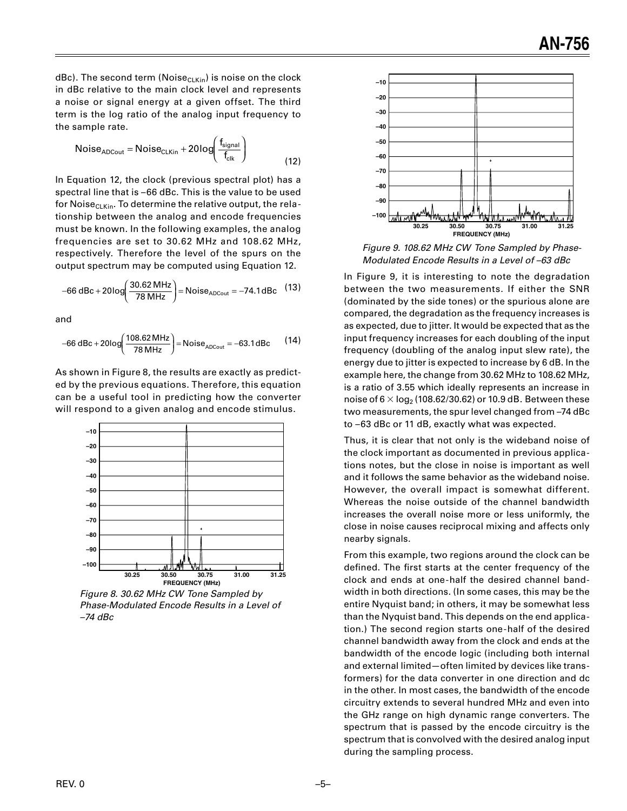$dBc$ ). The second term (Noise<sub>CLKin</sub>) is noise on the clock in dBc relative to the main clock level and represents a noise or signal energy at a given offset. The third term is the log ratio of the analog input frequency to the sample rate.

$$
Noise_{ADCout} = Noise_{CLKin} + 20log\left(\frac{f_{signal}}{f_{clk}}\right)
$$
\n(12)

In Equation 12, the clock (previous spectral plot) has a spectral line that is –66 dBc. This is the value to be used for Noise $CLKin$ . To determine the relative output, the relationship between the analog and encode frequencies must be known. In the following examples, the analog frequencies are set to 30.62 MHz and 108.62 MHz, respectively. Therefore the level of the spurs on the output spectrum may be computed using Equation 12.

-66 dBc + 20log 
$$
\left(\frac{30.62 \text{ MHz}}{78 \text{ MHz}}\right)
$$
 = Noise<sub>ADCout</sub> = -74.1 dBc (13)

and

$$
-66 \text{ dBc} + 20 \text{log} \left( \frac{108.62 \text{ MHz}}{78 \text{ MHz}} \right) = \text{Noise}_{\text{ADCout}} = -63.1 \text{ dBc} \tag{14}
$$

As shown in Figure 8, the results are exactly as predicted by the previous equations. Therefore, this equation can be a useful tool in predicting how the converter will respond to a given analog and encode stimulus.



Figure 8. 30.62 MHz CW Tone Sampled by Phase-Modulated Encode Results in a Level of  $-74$  dBc



Figure 9. 108.62 MHz CW Tone Sampled by Phase-Modulated Encode Results in a Level of –63 dBc

In Figure 9, it is interesting to note the degradation between the two measurements. If either the SNR (dominated by the side tones) or the spurious alone are compared, the degradation as the frequency increases is as expected, due to jitter. It would be expected that as the input frequency increases for each doubling of the input frequency (doubling of the analog input slew rate), the energy due to jitter is expected to increase by 6 dB. In the example here, the change from 30.62 MHz to 108.62 MHz, is a ratio of 3.55 which ideally represents an increase in noise of  $6 \times \log_2 (108.62/30.62)$  or 10.9 dB. Between these two measurements, the spur level changed from –74 dBc to –63 dBc or 11 dB, exactly what was expected.

Thus, it is clear that not only is the wideband noise of the clock important as documented in previous applications notes, but the close in noise is important as well and it follows the same behavior as the wideband noise. However, the overall impact is somewhat different. Whereas the noise outside of the channel bandwidth increases the overall noise more or less uniformly, the close in noise causes reciprocal mixing and affects only nearby signals.

From this example, two regions around the clock can be defined. The first starts at the center frequency of the clock and ends at one-half the desired channel bandwidth in both directions. (In some cases, this may be the entire Nyquist band; in others, it may be somewhat less than the Nyquist band. This depends on the end application.) The second region starts one-half of the desired channel bandwidth away from the clock and ends at the bandwidth of the encode logic (including both internal and external limited—often limited by devices like transformers) for the data converter in one direction and dc in the other. In most cases, the bandwidth of the encode circuitry extends to several hundred MHz and even into the GHz range on high dynamic range converters. The spectrum that is passed by the encode circuitry is the spectrum that is convolved with the desired analog input during the sampling process.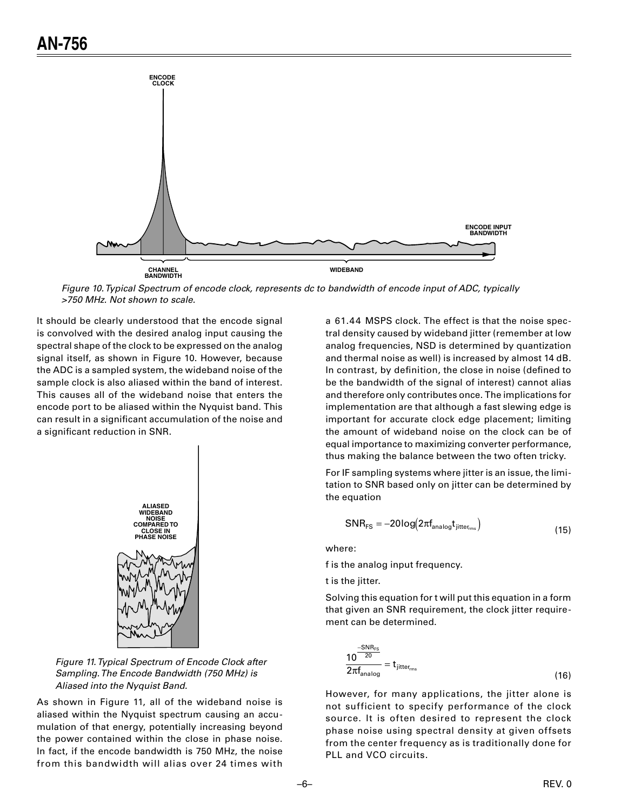

Figure 10. Typical Spectrum of encode clock, represents dc to bandwidth of encode input of ADC, typically >750 MHz. Not shown to scale.

It should be clearly understood that the encode signal is convolved with the desired analog input causing the spectral shape of the clock to be expressed on the analog signal itself, as shown in Figure 10. However, because the ADC is a sampled system, the wideband noise of the sample clock is also aliased within the band of interest. This causes all of the wideband noise that enters the encode port to be aliased within the Nyquist band. This can result in a significant accumulation of the noise and a significant reduction in SNR.



Figure 11. Typical Spectrum of Encode Clock after Sampling. The Encode Bandwidth (750 MHz) is Aliased into the Nyquist Band.

As shown in Figure 11, all of the wideband noise is aliased within the Nyquist spectrum causing an accumulation of that energy, potentially increasing beyond the power contained within the close in phase noise. In fact, if the encode bandwidth is 750 MHz, the noise from this bandwidth will alias over 24 times with

a 61.44 MSPS clock. The effect is that the noise spectral density caused by wideband jitter (remember at low analog frequencies, NSD is determined by quantization and thermal noise as well) is increased by almost 14 dB. In contrast, by definition, the close in noise (defined to be the bandwidth of the signal of interest) cannot alias and therefore only contributes once. The implications for implementation are that although a fast slewing edge is important for accurate clock edge placement; limiting the amount of wideband noise on the clock can be of equal importance to maximizing converter performance, thus making the balance between the two often tricky.

For IF sampling systems where jitter is an issue, the limitation to SNR based only on jitter can be determined by the equation

$$
SNR_{FS} = -20\log(2\pi f_{\text{analog}}t_{\text{jitter}_{\text{rms}}})
$$
\n(15)

where:

f is the analog input frequency.

t is the jitter.

Solving this equation for t will put this equation in a form that given an SNR requirement, the clock jitter requirement can be determined.

$$
\frac{10^{\frac{-SNR_{FS}}{20}}}{2\pi f_{\text{analog}}} = t_{\text{jitter}_{\text{rms}}} \tag{16}
$$

However, for many applications, the jitter alone is not sufficient to specify performance of the clock source. It is often desired to represent the clock phase noise using spectral density at given offsets from the center frequency as is traditionally done for PLL and VCO circuits.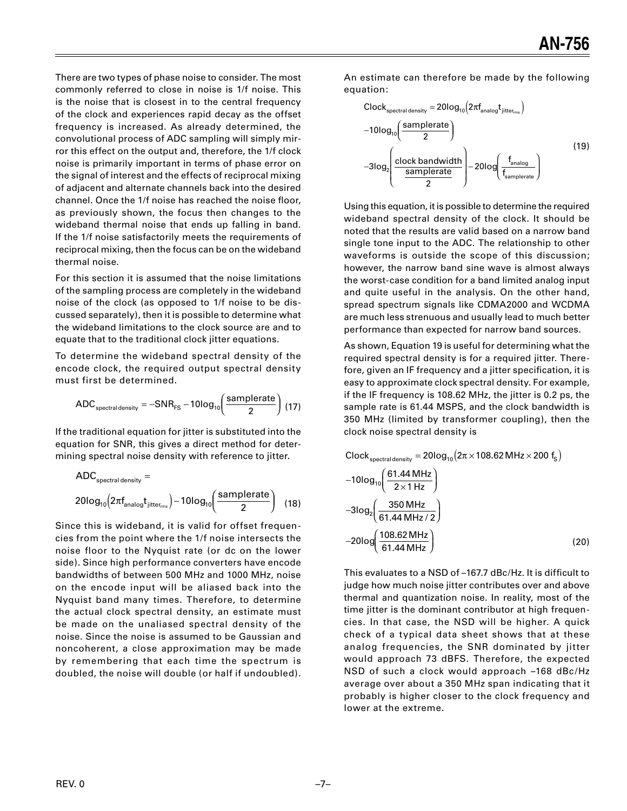There are two types of phase noise to consider. The most commonly referred to close in noise is 1/f noise. This is the noise that is closest in to the central frequency of the clock and experiences rapid decay as the offset frequency is increased. As already determined, the convolutional process of ADC sampling will simply mirror this effect on the output and, therefore, the 1/f clock noise is primarily important in terms of phase error on the signal of interest and the effects of reciprocal mixing of adjacent and alternate channels back into the desired channel. Once the 1/f noise has reached the noise floor, as previously shown, the focus then changes to the wideband thermal noise that ends up falling in band. If the 1/f noise satisfactorily meets the requirements of reciprocal mixing, then the focus can be on the wideband thermal noise.

For this section it is assumed that the noise limitations of the sampling process are completely in the wideband noise of the clock (as opposed to 1/f noise to be discussed separately), then it is possible to determine what the wideband limitations to the clock source are and to equate that to the traditional clock jitter equations.

To determine the wideband spectral density of the encode clock, the required output spectral density must first be determined.

$$
ADC_{\text{spectral density}} = -SNR_{\text{FS}} - 10\log_{10}\left(\frac{\text{samplerate}}{2}\right) (17)
$$

If the traditional equation for jitter is substituted into the equation for SNR, this gives a direct method for determining spectral noise density with reference to jitter.

$$
ADC_{spectral density} =
$$
  
20log<sub>10</sub> (2 $\pi f_{analog} t_{jitter_{rms}}$ ) - 10log<sub>10</sub>  $\left(\frac{samplerate}{2}\right)$  (18)

Since this is wideband, it is valid for offset frequencies from the point where the 1/f noise intersects the noise floor to the Nyquist rate (or dc on the lower side). Since high performance converters have encode bandwidths of between 500 MHz and 1000 MHz, noise on the encode input will be aliased back into the Nyquist band many times. Therefore, to determine the actual clock spectral density, an estimate must be made on the unaliased spectral density of the noise. Since the noise is assumed to be Gaussian and noncoherent, a close approximation may be made by remembering that each time the spectrum is doubled, the noise will double (or half if undoubled).

An estimate can therefore be made by the following equation:

$$
Clock_{spectral density} = 20log_{10}(2\pi f_{analog}t_{jitter_{rms}})
$$
  
-10log<sub>10</sub>( $\frac{samplerate}{2}$ )  
-3log<sub>2</sub>( $\frac{clock\ bandwidth}{samplerate}$ )  
-20log( $\frac{f_{analog}}{f_{samplerate}}$ ) (19)

Using this equation, it is possible to determine the required wideband spectral density of the clock. It should be noted that the results are valid based on a narrow band single tone input to the ADC. The relationship to other waveforms is outside the scope of this discussion; however, the narrow band sine wave is almost always the worst-case condition for a band limited analog input and quite useful in the analysis. On the other hand, spread spectrum signals like CDMA2000 and WCDMA are much less strenuous and usually lead to much better performance than expected for narrow band sources.

As shown, Equation 19 is useful for determining what the required spectral density is for a required jitter. Therefore, given an IF frequency and a jitter specification, it is easy to approximate clock spectral density. For example, if the IF frequency is 108.62 MHz, the jitter is 0.2 ps, the sample rate is 61.44 MSPS, and the clock bandwidth is 350 MHz (limited by transformer coupling), then the clock noise spectral density is

$$
Clock_{spectral density} = 20log_{10}(2\pi \times 108.62 MHz \times 200 f_{s})
$$
  
-10log<sub>10</sub>( $\frac{61.44 MHz}{2 \times 1 Hz}$ )  
-3log<sub>2</sub>( $\frac{350 MHz}{61.44 MHz / 2}$ )  
-20log( $\frac{108.62 MHz}{61.44 MHz}$ ) (20)

This evaluates to a NSD of –167.7 dBc/Hz. It is difficult to judge how much noise jitter contributes over and above thermal and quantization noise. In reality, most of the time jitter is the dominant contributor at high frequencies. In that case, the NSD will be higher. A quick check of a typical data sheet shows that at these analog frequencies, the SNR dominated by jitter would approach 73 dBFS. Therefore, the expected NSD of such a clock would approach –168 dBc/Hz average over about a 350 MHz span indicating that it probably is higher closer to the clock frequency and lower at the extreme.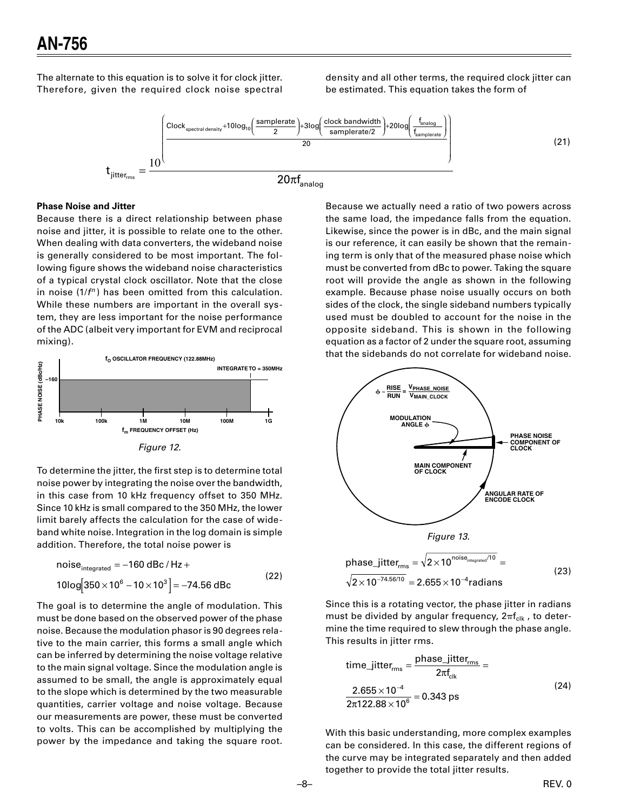The alternate to this equation is to solve it for clock jitter. Therefore, given the required clock noise spectral density and all other terms, the required clock jitter can be estimated. This equation takes the form of



## **Phase Noise and Jitter**

Because there is a direct relationship between phase noise and jitter, it is possible to relate one to the other. When dealing with data converters, the wideband noise is generally considered to be most important. The following figure shows the wideband noise characteristics of a typical crystal clock oscillator. Note that the close in noise  $(1/f<sup>n</sup>)$  has been omitted from this calculation. While these numbers are important in the overall system, they are less important for the noise performance of the ADC (albeit very important for EVM and reciprocal mixing).



To determine the jitter, the first step is to determine total noise power by integrating the noise over the bandwidth, in this case from 10 kHz frequency offset to 350 MHz. Since 10 kHz is small compared to the 350 MHz, the lower limit barely affects the calculation for the case of wideband white noise. Integration in the log domain is simple addition. Therefore, the total noise power is

The goal is to determine the angle of modulation. This must be done based on the observed power of the phase noise. Because the modulation phasor is 90 degrees relative to the main carrier, this forms a small angle which can be inferred by determining the noise voltage relative to the main signal voltage. Since the modulation angle is assumed to be small, the angle is approximately equal to the slope which is determined by the two measurable quantities, carrier voltage and noise voltage. Because our measurements are power, these must be converted to volts. This can be accomplished by multiplying the power by the impedance and taking the square root.

Because we actually need a ratio of two powers across the same load, the impedance falls from the equation. Likewise, since the power is in dBc, and the main signal is our reference, it can easily be shown that the remaining term is only that of the measured phase noise which must be converted from dBc to power. Taking the square root will provide the angle as shown in the following example. Because phase noise usually occurs on both sides of the clock, the single sideband numbers typically used must be doubled to account for the noise in the opposite sideband. This is shown in the following equation as a factor of 2 under the square root, assuming that the sidebands do not correlate for wideband noise.



Since this is a rotating vector, the phase jitter in radians must be divided by angular frequency,  $2\pi f_{\text{clk}}$ , to determine the time required to slew through the phase angle. This results in jitter rms.

time\_jitter<sub>rms</sub> = 
$$
\frac{\text{phase_jitter}_{\text{rms}}}{2\pi f_{\text{clk}}}
$$
 =  
\n $\frac{2.655 \times 10^{-4}}{2\pi 122.88 \times 10^6}$  = 0.343 ps (24)

With this basic understanding, more complex examples can be considered. In this case, the different regions of the curve may be integrated separately and then added together to provide the total jitter results.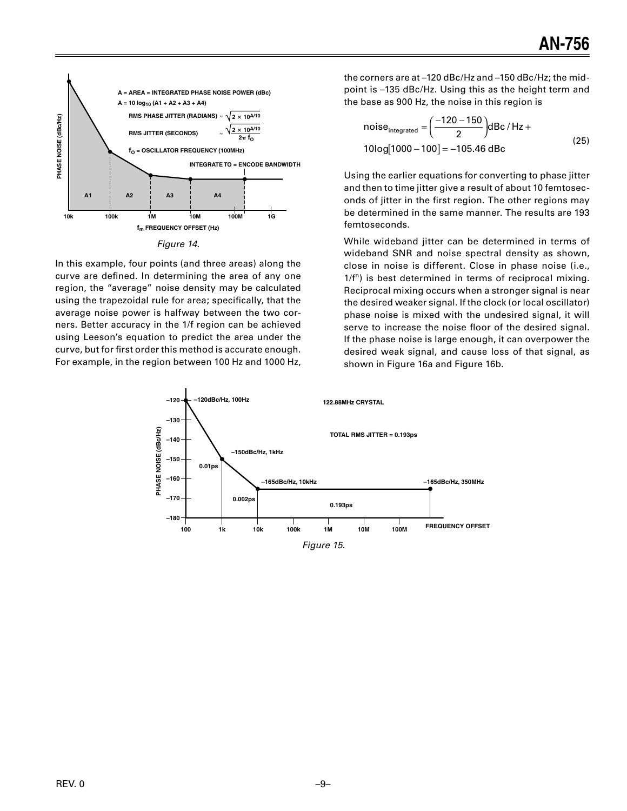

| Figure | 14 |
|--------|----|
|        |    |

In this example, four points (and three areas) along the curve are defined. In determining the area of any one region, the "average" noise density may be calculated using the trapezoidal rule for area; specifically, that the average noise power is halfway between the two corners. Better accuracy in the 1/f region can be achieved using Leeson's equation to predict the area under the curve, but for first order this method is accurate enough. For example, in the region between 100 Hz and 1000 Hz,

the corners are at -120 dBc/Hz and -150 dBc/Hz; the midpoint is -135 dBc/Hz. Using this as the height term and the base as 900 Hz, the noise in this region is

noise<sub>integrated</sub> = 
$$
\left(\frac{-120 - 150}{2}\right)
$$
dBc/Hz +  
10log[1000 - 100] = -105.46 dBc (25)

Using the earlier equations for converting to phase jitter and then to time jitter give a result of about 10 femtoseconds of jitter in the first region. The other regions may be determined in the same manner. The results are 193 femtoseconds.

While wideband jitter can be determined in terms of wideband SNR and noise spectral density as shown, close in noise is different. Close in phase noise (i.e.,  $1/f<sup>n</sup>$ ) is best determined in terms of reciprocal mixing. Reciprocal mixing occurs when a stronger signal is near the desired weaker signal. If the clock (or local oscillator) phase noise is mixed with the undesired signal, it will serve to increase the noise floor of the desired signal. If the phase noise is large enough, it can overpower the desired weak signal, and cause loss of that signal, as shown in Figure 16a and Figure 16b.

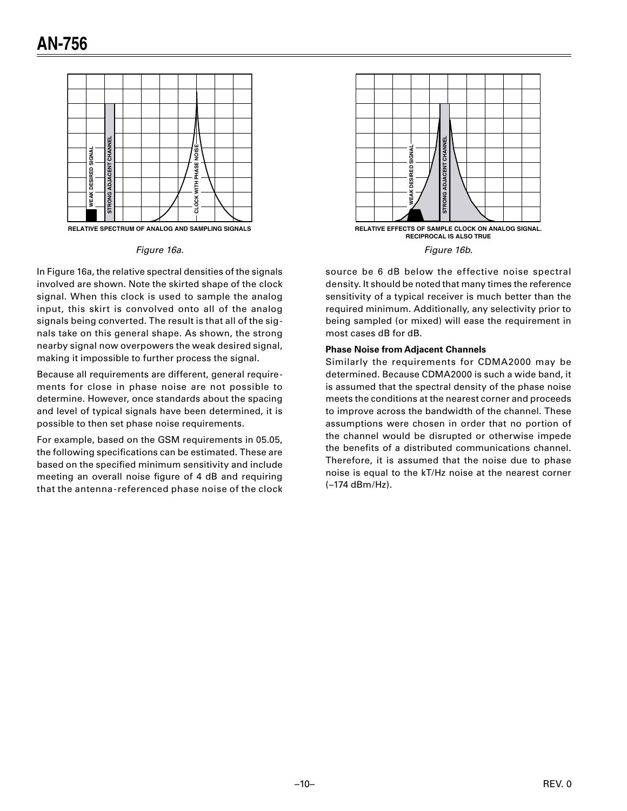

RELATIVE SPECTRUM OF ANALOG AND SAMPLING SIGNALS

### Figure 16a.

In Figure 16a, the relative spectral densities of the signals involved are shown. Note the skirted shape of the clock signal. When this clock is used to sample the analog input, this skirt is convolved onto all of the analog signals being converted. The result is that all of the signals take on this general shape. As shown, the strong nearby signal now overpowers the weak desired signal, making it impossible to further process the signal.

Because all requirements are different, general requirements for close in phase noise are not possible to determine. However, once standards about the spacing and level of typical signals have been determined, it is possible to then set phase noise requirements.

For example, based on the GSM requirements in 05.05, the following specifications can be estimated. These are based on the specified minimum sensitivity and include meeting an overall noise figure of 4 dB and requiring that the antenna-referenced phase noise of the clock





source be 6 dB below the effective noise spectral density. It should be noted that many times the reference sensitivity of a typical receiver is much better than the required minimum. Additionally, any selectivity prior to being sampled (or mixed) will ease the requirement in most cases dB for dB.

## **Phase Noise from Adjacent Channels**

Similarly the requirements for CDMA2000 may be determined. Because CDMA2000 is such a wide band, it is assumed that the spectral density of the phase noise meets the conditions at the nearest corner and proceeds to improve across the bandwidth of the channel. These assumptions were chosen in order that no portion of the channel would be disrupted or otherwise impede the benefits of a distributed communications channel. Therefore, it is assumed that the noise due to phase noise is equal to the kT/Hz noise at the nearest corner (-174 dBm/Hz).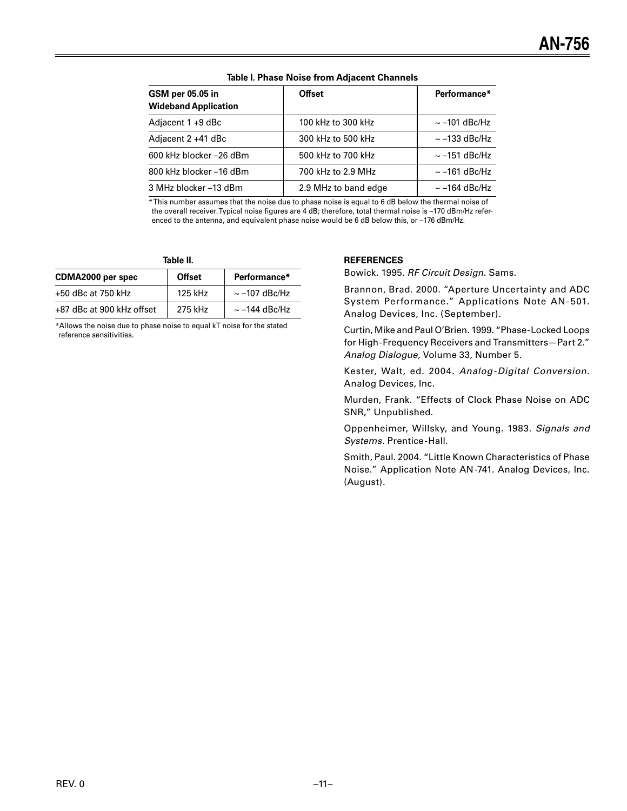| GSM per 05.05 in<br><b>Wideband Application</b> | <b>Offset</b>        | Performance*       |
|-------------------------------------------------|----------------------|--------------------|
| Adjacent 1 +9 dBc                               | 100 kHz to 300 kHz   | $\sim$ -101 dBc/Hz |
| Adjacent 2 +41 dBc                              | 300 kHz to 500 kHz   | $\sim$ -133 dBc/Hz |
| 600 kHz blocker -26 dBm                         | 500 kHz to 700 kHz   | $\sim$ -151 dBc/Hz |
| 800 kHz blocker-16 dBm                          | 700 kHz to 2.9 MHz   | $\sim$ -161 dBc/Hz |
| 3 MHz blocker -13 dBm                           | 2.9 MHz to band edge | $\sim$ -164 dBc/Hz |

#### **Table I. Phase Noise from Adjacent Channels**

\* This number assumes that the noise due to phase noise is equal to 6 dB below the thermal noise of the overall receiver. Typical noise figures are 4 dB; therefore, total thermal noise is –170 dBm/Hz referenced to the antenna, and equivalent phase noise would be 6 dB below this, or –176 dBm/Hz.

**Table II.**

| CDMA2000 per spec         | <b>Offset</b> | Performance*       |
|---------------------------|---------------|--------------------|
| $+50$ dBc at 750 kHz      | 125 kHz       | $\sim$ -107 dBc/Hz |
| +87 dBc at 900 kHz offset | 275 kHz       | $\sim$ -144 dBc/Hz |

\*Allows the noise due to phase noise to equal kT noise for the stated reference sensitivities.

#### **REFERENCES**

Bowick. 1995. RF Circuit Design. Sams.

Brannon, Brad. 2000. "Aperture Uncertainty and ADC System Performance." Applications Note AN-501. Analog Devices, Inc. (September).

Curtin, Mike and Paul O'Brien. 1999. "Phase-Locked Loops for High-Frequency Receivers and Transmitters—Part 2." Analog Dialogue, Volume 33, Number 5.

Kester, Walt, ed. 2004. Analog-Digital Conversion. Analog Devices, Inc.

Murden, Frank. "Effects of Clock Phase Noise on ADC SNR," Unpublished.

Oppenheimer, Willsky, and Young. 1983. Signals and Systems. Prentice-Hall.

Smith, Paul. 2004. "Little Known Characteristics of Phase Noise." Application Note AN-741. Analog Devices, Inc. (August).